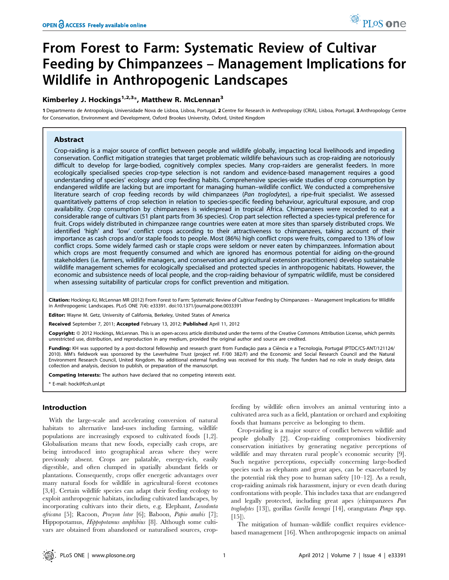# From Forest to Farm: Systematic Review of Cultivar Feeding by Chimpanzees – Management Implications for Wildlife in Anthropogenic Landscapes

# Kimberley J. Hockings<sup>1,2,3\*</sup>, Matthew R. McLennan<sup>3</sup>

1 Departmento de Antropologia, Universidade Nova de Lisboa, Lisboa, Portugal, 2 Centre for Research in Anthropology (CRIA), Lisboa, Portugal, 3 Anthropology Centre for Conservation, Environment and Development, Oxford Brookes University, Oxford, United Kingdom

# Abstract

Crop-raiding is a major source of conflict between people and wildlife globally, impacting local livelihoods and impeding conservation. Conflict mitigation strategies that target problematic wildlife behaviours such as crop-raiding are notoriously difficult to develop for large-bodied, cognitively complex species. Many crop-raiders are generalist feeders. In more ecologically specialised species crop-type selection is not random and evidence-based management requires a good understanding of species' ecology and crop feeding habits. Comprehensive species-wide studies of crop consumption by endangered wildlife are lacking but are important for managing human–wildlife conflict. We conducted a comprehensive literature search of crop feeding records by wild chimpanzees (Pan troglodytes), a ripe-fruit specialist. We assessed quantitatively patterns of crop selection in relation to species-specific feeding behaviour, agricultural exposure, and crop availability. Crop consumption by chimpanzees is widespread in tropical Africa. Chimpanzees were recorded to eat a considerable range of cultivars (51 plant parts from 36 species). Crop part selection reflected a species-typical preference for fruit. Crops widely distributed in chimpanzee range countries were eaten at more sites than sparsely distributed crops. We identified 'high' and 'low' conflict crops according to their attractiveness to chimpanzees, taking account of their importance as cash crops and/or staple foods to people. Most (86%) high conflict crops were fruits, compared to 13% of low conflict crops. Some widely farmed cash or staple crops were seldom or never eaten by chimpanzees. Information about which crops are most frequently consumed and which are ignored has enormous potential for aiding on-the-ground stakeholders (i.e. farmers, wildlife managers, and conservation and agricultural extension practitioners) develop sustainable wildlife management schemes for ecologically specialised and protected species in anthropogenic habitats. However, the economic and subsistence needs of local people, and the crop-raiding behaviour of sympatric wildlife, must be considered when assessing suitability of particular crops for conflict prevention and mitigation.

Citation: Hockings KJ, McLennan MR (2012) From Forest to Farm: Systematic Review of Cultivar Feeding by Chimpanzees - Management Implications for Wildlife in Anthropogenic Landscapes. PLoS ONE 7(4): e33391. doi:10.1371/journal.pone.0033391

Editor: Wayne M. Getz, University of California, Berkeley, United States of America

Received September 7, 2011; Accepted February 13, 2012; Published April 11, 2012

**Copyright:** © 2012 Hockings, McLennan. This is an open-access article distributed under the terms of the Creative Commons Attribution License, which permits unrestricted use, distribution, and reproduction in any medium, provided the original author and source are credited.

Funding: KH was supported by a post-doctoral fellowship and research grant from Fundação para a Ciência e a Tecnologia, Portugal (PTDC/CS-ANT/121124/ 2010). MM's fieldwork was sponsored by the Leverhulme Trust (project ref. F/00 382/F) and the Economic and Social Research Council and the Natural Environment Research Council, United Kingdom. No additional external funding was received for this study. The funders had no role in study design, data collection and analysis, decision to publish, or preparation of the manuscript.

**Competing Interests:** The authors have declared that no competing interests exist.

\* E-mail: hock@fcsh.unl.pt

# Introduction

With the large-scale and accelerating conversion of natural habitats to alternative land-uses including farming, wildlife populations are increasingly exposed to cultivated foods [1,2]. Globalisation means that new foods, especially cash crops, are being introduced into geographical areas where they were previously absent. Crops are palatable, energy-rich, easily digestible, and often clumped in spatially abundant fields or plantations. Consequently, crops offer energetic advantages over many natural foods for wildlife in agricultural–forest ecotones [3,4]. Certain wildlife species can adapt their feeding ecology to exploit anthropogenic habitats, including cultivated landscapes, by incorporating cultivars into their diets, e.g. Elephant, Loxodonta africana [5]; Racoon, Procyon lotor [6]; Baboon, Papio anubis [7]; Hippopotamus, Hippopotamus amphibius [8]. Although some cultivars are obtained from abandoned or naturalised sources, cropfeeding by wildlife often involves an animal venturing into a cultivated area such as a field, plantation or orchard and exploiting foods that humans perceive as belonging to them.

Crop-raiding is a major source of conflict between wildlife and people globally [2]. Crop-raiding compromises biodiversity conservation initiatives by generating negative perceptions of wildlife and may threaten rural people's economic security [9]. Such negative perceptions, especially concerning large-bodied species such as elephants and great apes, can be exacerbated by the potential risk they pose to human safety [10–12]. As a result, crop-raiding animals risk harassment, injury or even death during confrontations with people. This includes taxa that are endangered and legally protected, including great apes (chimpanzees Pan troglodytes [13]), gorillas Gorilla berengei [14], orangutans Pongo spp.  $[15]$ .

The mitigation of human–wildlife conflict requires evidencebased management [16]. When anthropogenic impacts on animal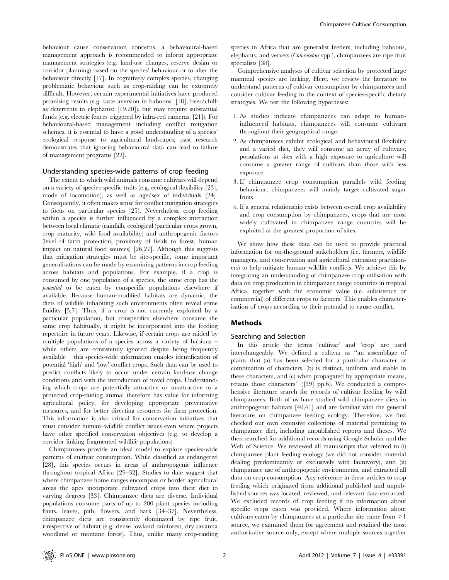behaviour cause conservation concerns, a behavioural-based management approach is recommended to inform appropriate management strategies (e.g. land-use changes, reserve design or corridor planning) based on the species' behaviour or to alter the behaviour directly [17]. In cognitively complex species, changing problematic behaviour such as crop-raiding can be extremely difficult. However, certain experimental initiatives have produced promising results (e.g. taste aversion in baboons: [18]; bees/chilli as deterrents to elephants: [19,20]), but may require substantial funds (e.g. electric fences triggered by infra-red cameras: [21]). For behavioural-based management including conflict mitigation schemes, it is essential to have a good understanding of a species' ecological response to agricultural landscapes; past research demonstrates that ignoring behavioural data can lead to failure of management programs [22].

#### Understanding species-wide patterns of crop feeding

The extent to which wild animals consume cultivars will depend on a variety of species-specific traits (e.g. ecological flexibility [23], mode of locomotion), as well as age/sex of individuals [24]. Consequently, it often makes sense for conflict mitigation strategies to focus on particular species [25]. Nevertheless, crop feeding within a species is further influenced by a complex interaction between local climatic (rainfall), ecological (particular crops grown, crop maturity, wild food availability) and anthropogenic factors (level of farm protection, proximity of fields to forest, human impact on natural food sources) [26,27]. Although this suggests that mitigation strategies must be site-specific, some important generalisations can be made by examining patterns in crop feeding across habitats and populations. For example, if a crop is consumed by one population of a species, the same crop has the potential to be eaten by conspecific populations elsewhere if available. Because human-modified habitats are dynamic, the diets of wildlife inhabiting such environments often reveal some fluidity [5,7]. Thus, if a crop is not currently exploited by a particular population, but conspecifics elsewhere consume the same crop habitually, it might be incorporated into the feeding repertoire in future years. Likewise, if certain crops are raided by multiple populations of a species across a variety of habitats – while others are consistently ignored despite being frequently available – this species-wide information enables identification of potential 'high' and 'low' conflict crops. Such data can be used to predict conflicts likely to occur under certain land-use change conditions and with the introduction of novel crops. Understanding which crops are potentially attractive or unattractive to a protected crop-raiding animal therefore has value for informing agricultural policy, for developing appropriate preventative measures, and for better directing resources for farm protection. This information is also critical for conservation initiatives that must consider human–wildlife conflict issues even where projects have other specified conservation objectives (e.g. to develop a corridor linking fragmented wildlife populations).

Chimpanzees provide an ideal model to explore species-wide patterns of cultivar consumption. While classified as endangered [28], this species occurs in areas of anthropogenic influence throughout tropical Africa [29–32]. Studies to date suggest that where chimpanzee home ranges encompass or border agricultural areas the apes incorporate cultivated crops into their diet to varying degrees [33]. Chimpanzee diets are diverse. Individual populations consume parts of up to 200 plant species including fruits, leaves, pith, flowers, and bark [34–37]. Nevertheless, chimpanzee diets are consistently dominated by ripe fruit, irrespective of habitat (e.g. dense lowland rainforest, dry savanna woodland or montane forest). Thus, unlike many crop-raiding

species in Africa that are generalist feeders, including baboons, elephants, and vervets (Chlorocebus spp.), chimpanzees are ripe fruit specialists [38].

Comprehensive analyses of cultivar selection by protected large mammal species are lacking. Here, we review the literature to understand patterns of cultivar consumption by chimpanzees and consider cultivar feeding in the context of species-specific dietary strategies. We test the following hypotheses:

- 1. As studies indicate chimpanzees can adapt to humaninfluenced habitats, chimpanzees will consume cultivars throughout their geographical range.
- 2. As chimpanzees exhibit ecological and behavioural flexibility and a varied diet, they will consume an array of cultivars; populations at sites with a high exposure to agriculture will consume a greater range of cultivars than those with less exposure.
- 3. If chimpanzee crop consumption parallels wild feeding behaviour, chimpanzees will mainly target cultivated sugar fruits.
- 4. If a general relationship exists between overall crop availability and crop consumption by chimpanzees, crops that are most widely cultivated in chimpanzee range countries will be exploited at the greatest proportion of sites.

We show how these data can be used to provide practical information for on-the-ground stakeholders (i.e. farmers, wildlife managers, and conservation and agricultural extension practitioners) to help mitigate human–wildlife conflicts. We achieve this by integrating an understanding of chimpanzee crop utilisation with data on crop production in chimpanzee range countries in tropical Africa, together with the economic value (i.e. subsistence or commercial) of different crops to farmers. This enables characterisation of crops according to their potential to cause conflict.

#### Methods

#### Searching and Selection

In this article the terms 'cultivar' and 'crop' are used interchangeably. We defined a cultivar as ''an assemblage of plants that (a) has been selected for a particular character or combination of characters, (b) is distinct, uniform and stable in these characters, and (c) when propagated by appropriate means, retains those characters'' ([39] pp.6). We conducted a comprehensive literature search for records of cultivar feeding by wild chimpanzees. Both of us have studied wild chimpanzee diets in anthropogenic habitats [40,41] and are familiar with the general literature on chimpanzee feeding ecology. Therefore, we first checked our own extensive collections of material pertaining to chimpanzee diet, including unpublished reports and theses. We then searched for additional records using Google Scholar and the Web of Science. We reviewed all manuscripts that referred to (i) chimpanzee plant feeding ecology (we did not consider material dealing predominantly or exclusively with faunivory), and (ii) chimpanzee use of anthropogenic environments, and extracted all data on crop consumption. Any reference in these articles to crop feeding which originated from additional published and unpublished sources was located, reviewed, and relevant data extracted. We excluded records of crop feeding if no information about specific crops eaten was provided. Where information about cultivars eaten by chimpanzees at a particular site came from  $>1$ source, we examined them for agreement and retained the most authoritative source only, except where multiple sources together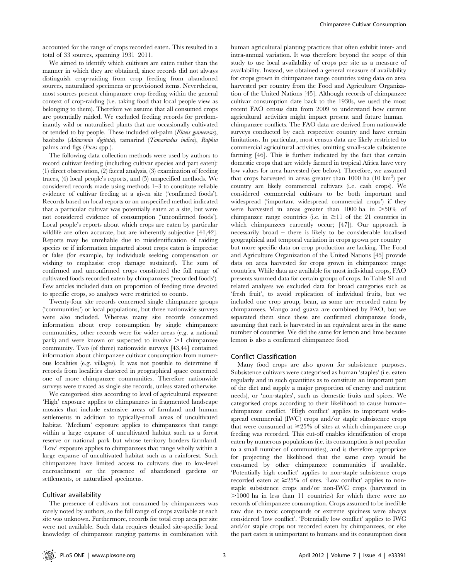accounted for the range of crops recorded eaten. This resulted in a total of 33 sources, spanning 1931–2011.

We aimed to identify which cultivars are eaten rather than the manner in which they are obtained, since records did not always distinguish crop-raiding from crop feeding from abandoned sources, naturalised specimens or provisioned items. Nevertheless, most sources present chimpanzee crop feeding within the general context of crop-raiding (i.e. taking food that local people view as belonging to them). Therefore we assume that all consumed crops are potentially raided. We excluded feeding records for predominantly wild or naturalised plants that are occasionally cultivated or tended to by people. These included oil-palm (Elaeis guineensis), baobabs (Adansonia digitata), tamarind (Tamarindus indica), Raphia palms and figs (Ficus spp.).

The following data collection methods were used by authors to record cultivar feeding (including cultivar species and part eaten): (1) direct observation, (2) faecal analysis, (3) examination of feeding traces, (4) local people's reports, and (5) unspecified methods. We considered records made using methods 1–3 to constitute reliable evidence of cultivar feeding at a given site ('confirmed foods'). Records based on local reports or an unspecified method indicated that a particular cultivar was potentially eaten at a site, but were not considered evidence of consumption ('unconfirmed foods'). Local people's reports about which crops are eaten by particular wildlife are often accurate, but are inherently subjective [41,42]. Reports may be unreliable due to misidentification of raiding species or if information imparted about crops eaten is imprecise or false (for example, by individuals seeking compensation or wishing to emphasise crop damage sustained). The sum of confirmed and unconfirmed crops constituted the full range of cultivated foods recorded eaten by chimpanzees ('recorded foods'). Few articles included data on proportion of feeding time devoted to specific crops, so analyses were restricted to counts.

Twenty-four site records concerned single chimpanzee groups ('communities') or local populations, but three nationwide surveys were also included. Whereas many site records concerned information about crop consumption by single chimpanzee communities, other records were for wider areas (e.g. a national park) and were known or suspected to involve  $>1$  chimpanzee community. Two (of three) nationwide surveys [43,44] contained information about chimpanzee cultivar consumption from numerous localities (e.g. villages). It was not possible to determine if records from localities clustered in geographical space concerned one of more chimpanzee communities. Therefore nationwide surveys were treated as single site records, unless stated otherwise.

We categorised sites according to level of agricultural exposure: 'High' exposure applies to chimpanzees in fragmented landscape mosaics that include extensive areas of farmland and human settlements in addition to typically-small areas of uncultivated habitat. 'Medium' exposure applies to chimpanzees that range within a large expanse of uncultivated habitat such as a forest reserve or national park but whose territory borders farmland. 'Low' exposure applies to chimpanzees that range wholly within a large expanse of uncultivated habitat such as a rainforest. Such chimpanzees have limited access to cultivars due to low-level encroachment or the presence of abandoned gardens or settlements, or naturalised specimens.

# Cultivar availability

The presence of cultivars not consumed by chimpanzees was rarely noted by authors, so the full range of crops available at each site was unknown. Furthermore, records for total crop area per site were not available. Such data requires detailed site-specific local knowledge of chimpanzee ranging patterns in combination with

human agricultural planting practices that often exhibit inter- and intra-annual variation. It was therefore beyond the scope of this study to use local availability of crops per site as a measure of availability. Instead, we obtained a general measure of availability for crops grown in chimpanzee range countries using data on area harvested per country from the Food and Agriculture Organization of the United Nations [45]. Although records of chimpanzee cultivar consumption date back to the 1930s, we used the most recent FAO census data from 2009 to understand how current agricultural activities might impact present and future human– chimpanzee conflicts. The FAO data are derived from nationwide surveys conducted by each respective country and have certain limitations. In particular, most census data are likely restricted to commercial agricultural activities, omitting small-scale subsistence farming [46]. This is further indicated by the fact that certain domestic crops that are widely farmed in tropical Africa have very low values for area harvested (see below). Therefore, we assumed that crops harvested in areas greater than  $1000$  ha  $(10 \text{ km}^2)$  per country are likely commercial cultivars (i.e. cash crops). We considered commercial cultivars to be both important and widespread ('important widespread commercial crops') if they were harvested in areas greater than 1000 ha in  $>50\%$  of chimpanzee range countries (i.e. in  $\geq 11$  of the 21 countries in which chimpanzees currently occur; [47]). Our approach is necessarily broad – there is likely to be considerable localised geographical and temporal variation in crops grown per country – but more specific data on crop production are lacking. The Food and Agriculture Organization of the United Nations [45] provide data on area harvested for crops grown in chimpanzee range countries. While data are available for most individual crops, FAO presents summed data for certain groups of crops. In Table S1 and related analyses we excluded data for broad categories such as 'fresh fruit', to avoid replication of individual fruits, but we included one crop group, bean, as some are recorded eaten by chimpanzees. Mango and guava are combined by FAO, but we separated them since these are confirmed chimpanzee foods, assuming that each is harvested in an equivalent area in the same number of countries. We did the same for lemon and lime because lemon is also a confirmed chimpanzee food.

#### Conflict Classification

Many food crops are also grown for subsistence purposes. Subsistence cultivars were categorised as human 'staples' (i.e. eaten regularly and in such quantities as to constitute an important part of the diet and supply a major proportion of energy and nutrient needs), or 'non-staples', such as domestic fruits and spices. We categorised crops according to their likelihood to cause human– chimpanzee conflict. 'High conflict' applies to important widespread commercial (IWC) crops and/or staple subsistence crops that were consumed at  $\geq 25\%$  of sites at which chimpanzee crop feeding was recorded. This cut-off enables identification of crops eaten by numerous populations (i.e. its consumption is not peculiar to a small number of communities), and is therefore appropriate for projecting the likelihood that the same crop would be consumed by other chimpanzee communities if available. 'Potentially high conflict' applies to non-staple subsistence crops recorded eaten at  $\geq$  25% of sites. 'Low conflict' applies to nonstaple subsistence crops and/or non-IWC crops (harvested in  $>1000$  ha in less than 11 countries) for which there were no records of chimpanzee consumption. Crops assumed to be inedible raw due to toxic compounds or extreme spiciness were always considered 'low conflict'. 'Potentially low conflict' applies to IWC and/or staple crops not recorded eaten by chimpanzees, or else the part eaten is unimportant to humans and its consumption does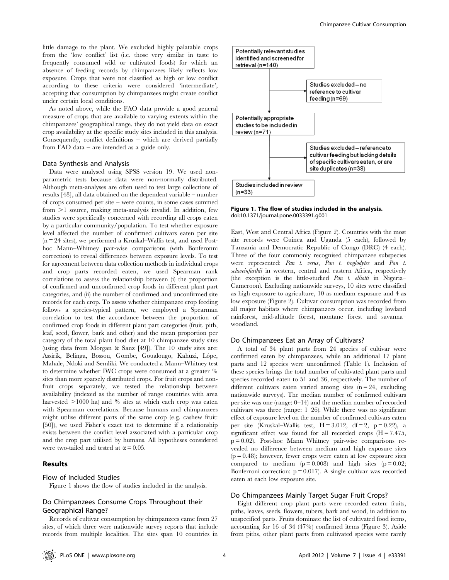little damage to the plant. We excluded highly palatable crops from the 'low conflict' list (i.e. those very similar in taste to frequently consumed wild or cultivated foods) for which an absence of feeding records by chimpanzees likely reflects low exposure. Crops that were not classified as high or low conflict according to these criteria were considered 'intermediate', accepting that consumption by chimpanzees might create conflict under certain local conditions.

As noted above, while the FAO data provide a good general measure of crops that are available to varying extents within the chimpanzees' geographical range, they do not yield data on exact crop availability at the specific study sites included in this analysis. Consequently, conflict definitions – which are derived partially from FAO data – are intended as a guide only.

#### Data Synthesis and Analysis

Data were analysed using SPSS version 19. We used nonparametric tests because data were non-normally distributed. Although meta-analyses are often used to test large collections of results [48], all data obtained on the dependent variable – number of crops consumed per site – were counts, in some cases summed from  $>1$  source, making meta-analysis invalid. In addition, few studies were specifically concerned with recording all crops eaten by a particular community/population. To test whether exposure level affected the number of confirmed cultivars eaten per site  $(n = 24$  sites), we performed a Kruskal–Wallis test, and used Posthoc Mann–Whitney pair-wise comparisons (with Bonferonni correction) to reveal differences between exposure levels. To test for agreement between data collection methods in individual crops and crop parts recorded eaten, we used Spearman rank correlations to assess the relationship between (i) the proportion of confirmed and unconfirmed crop foods in different plant part categories, and (ii) the number of confirmed and unconfirmed site records for each crop. To assess whether chimpanzee crop feeding follows a species-typical pattern, we employed a Spearman correlation to test the accordance between the proportion of confirmed crop foods in different plant part categories (fruit, pith, leaf, seed, flower, bark and other) and the mean proportion per category of the total plant food diet at 10 chimpanzee study sites (using data from Morgan & Sanz [49]). The 10 study sites are: Assirik, Belinga, Bossou, Gombe, Goualougo, Kahuzi, Lópe, Mahale, Ndoki and Semliki. We conducted a Mann–Whitney test to determine whether IWC crops were consumed at a greater % sites than more sparsely distributed crops. For fruit crops and nonfruit crops separately, we tested the relationship between availability (indexed as the number of range countries with area harvested  $>1000$  ha) and % sites at which each crop was eaten with Spearman correlations. Because humans and chimpanzees might utilise different parts of the same crop (e.g. cashew fruit: [50]), we used Fisher's exact test to determine if a relationship exists between the conflict level associated with a particular crop and the crop part utilised by humans. All hypotheses considered were two-tailed and tested at  $\alpha$  = 0.05.

### Results

#### Flow of Included Studies

Figure 1 shows the flow of studies included in the analysis.

# Do Chimpanzees Consume Crops Throughout their Geographical Range?

Records of cultivar consumption by chimpanzees came from 27 sites, of which three were nationwide survey reports that include records from multiple localities. The sites span 10 countries in



Figure 1. The flow of studies included in the analysis. doi:10.1371/journal.pone.0033391.g001

East, West and Central Africa (Figure 2). Countries with the most site records were Guinea and Uganda (5 each), followed by Tanzania and Democratic Republic of Congo (DRC) (4 each). Three of the four commonly recognised chimpanzee subspecies were represented: Pan t. verus, Pan t. troglodytes and Pan t. schweinfurthii in western, central and eastern Africa, respectively (the exception is the little-studied  $Pan \, t$ . elliotti in Nigeria– Cameroon). Excluding nationwide surveys, 10 sites were classified as high exposure to agriculture, 10 as medium exposure and 4 as low exposure (Figure 2). Cultivar consumption was recorded from all major habitats where chimpanzees occur, including lowland rainforest, mid-altitude forest, montane forest and savanna– woodland.

# Do Chimpanzees Eat an Array of Cultivars?

A total of 34 plant parts from 24 species of cultivar were confirmed eaten by chimpanzees, while an additional 17 plant parts and 12 species were unconfirmed (Table 1). Inclusion of these species brings the total number of cultivated plant parts and species recorded eaten to 51 and 36, respectively. The number of different cultivars eaten varied among sites (n = 24, excluding nationwide surveys). The median number of confirmed cultivars per site was one (range: 0–14) and the median number of recorded cultivars was three (range: 1–26). While there was no significant effect of exposure level on the number of confirmed cultivars eaten per site (Kruskal–Wallis test,  $H = 3.012$ ,  $df = 2$ ,  $p = 0.22$ ), a significant effect was found for all recorded crops  $(H = 7.475,$  $p = 0.02$ ). Post-hoc Mann–Whitney pair-wise comparisons revealed no difference between medium and high exposure sites  $(p = 0.48)$ ; however, fewer crops were eaten at low exposure sites compared to medium  $(p=0.008)$  and high sites  $(p=0.02)$ ; Bonferroni correction:  $p = 0.017$ ). A single cultivar was recorded eaten at each low exposure site.

# Do Chimpanzees Mainly Target Sugar Fruit Crops?

Eight different crop plant parts were recorded eaten: fruits, piths, leaves, seeds, flowers, tubers, bark and wood, in addition to unspecified parts. Fruits dominate the list of cultivated food items, accounting for 16 of 34 (47%) confirmed items (Figure 3). Aside from piths, other plant parts from cultivated species were rarely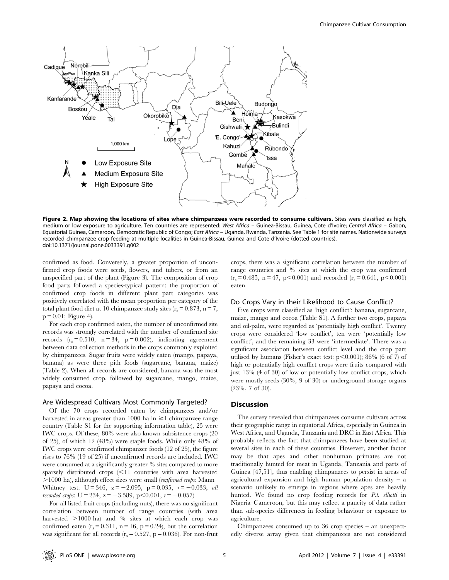

Figure 2. Map showing the locations of sites where chimpanzees were recorded to consume cultivars. Sites were classified as high, medium or low exposure to agriculture. Ten countries are represented: West Africa – Guinea-Bissau, Guinea, Cote d'Ivoire; Central Africa – Gabon, Equatorial Guinea, Cameroon, Democratic Republic of Congo; East Africa – Uganda, Rwanda, Tanzania. See Table 1 for site names. Nationwide surveys recorded chimpanzee crop feeding at multiple localities in Guinea-Bissau, Guinea and Cote d'Ivoire (dotted countries). doi:10.1371/journal.pone.0033391.g002

confirmed as food. Conversely, a greater proportion of unconfirmed crop foods were seeds, flowers, and tubers, or from an unspecified part of the plant (Figure 3). The composition of crop food parts followed a species-typical pattern: the proportion of confirmed crop foods in different plant part categories was positively correlated with the mean proportion per category of the total plant food diet at 10 chimpanzee study sites  $(r_s = 0.873, n = 7,$  $p = 0.01$ ; Figure 4).

For each crop confirmed eaten, the number of unconfirmed site records was strongly correlated with the number of confirmed site records  $(r_s = 0.510, n = 34, p = 0.002)$ , indicating agreement between data collection methods in the crops commonly exploited by chimpanzees. Sugar fruits were widely eaten (mango, papaya, banana) as were three pith foods (sugarcane, banana, maize) (Table 2). When all records are considered, banana was the most widely consumed crop, followed by sugarcane, mango, maize, papaya and cocoa.

#### Are Widespread Cultivars Most Commonly Targeted?

Of the 70 crops recorded eaten by chimpanzees and/or harvested in areas greater than 1000 ha in  $\geq$ 1 chimpanzee range country (Table S1 for the supporting information table), 25 were IWC crops. Of these, 80% were also known subsistence crops (20 of 25), of which 12 (48%) were staple foods. While only 48% of IWC crops were confirmed chimpanzee foods (12 of 25), the figure rises to 76% (19 of 25) if unconfirmed records are included. IWC were consumed at a significantly greater % sites compared to more sparsely distributed crops  $\leq 11$  countries with area harvested >1000 ha), although effect sizes were small (confirmed crops: Mann– Whitney test:  $U = 346$ ,  $z = -2.095$ ,  $p = 0.035$ ,  $r = -0.033$ ; all recorded crops:  $U = 234$ ,  $z = -3.589$ ,  $p < 0.001$ ,  $r = -0.057$ ).

For all listed fruit crops (including nuts), there was no significant correlation between number of range countries (with area harvested  $>1000$  ha) and % sites at which each crop was confirmed eaten  $(r_s = 0.311, n = 16, p = 0.24)$ , but the correlation was significant for all records ( $r_s = 0.527$ , p = 0.036). For non-fruit crops, there was a significant correlation between the number of range countries and % sites at which the crop was confirmed  $(r_s = 0.485, n = 47, p<0.001)$  and recorded  $(r_s = 0.641, p<0.001)$ eaten.

#### Do Crops Vary in their Likelihood to Cause Conflict?

Five crops were classified as 'high conflict': banana, sugarcane, maize, mango and cocoa (Table S1). A further two crops, papaya and oil-palm, were regarded as 'potentially high conflict'. Twenty crops were considered 'low conflict', ten were 'potentially low conflict', and the remaining 33 were 'intermediate'. There was a significant association between conflict level and the crop part utilised by humans (Fisher's exact test:  $p<0.001$ ); 86% (6 of 7) of high or potentially high conflict crops were fruits compared with just 13% (4 of 30) of low or potentially low conflict crops, which were mostly seeds (30%, 9 of 30) or underground storage organs (23%, 7 of 30).

# **Discussion**

The survey revealed that chimpanzees consume cultivars across their geographic range in equatorial Africa, especially in Guinea in West Africa, and Uganda, Tanzania and DRC in East Africa. This probably reflects the fact that chimpanzees have been studied at several sites in each of these countries. However, another factor may be that apes and other nonhuman primates are not traditionally hunted for meat in Uganda, Tanzania and parts of Guinea [47,51], thus enabling chimpanzees to persist in areas of agricultural expansion and high human population density  $-$  a scenario unlikely to emerge in regions where apes are heavily hunted. We found no crop feeding records for P.t. elliotti in Nigeria–Cameroon, but this may reflect a paucity of data rather than sub-species differences in feeding behaviour or exposure to agriculture.

Chimpanzees consumed up to 36 crop species – an unexpectedly diverse array given that chimpanzees are not considered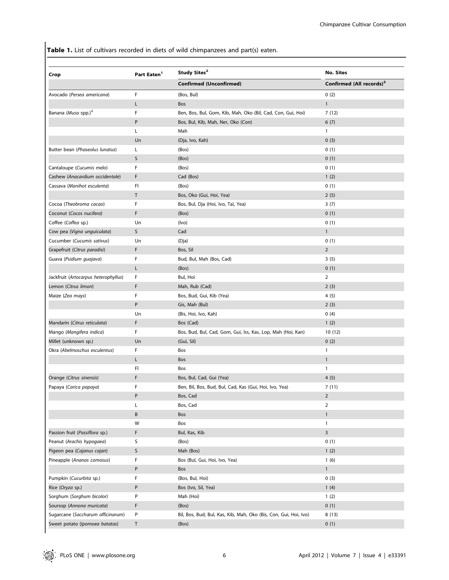Table 1. List of cultivars recorded in diets of wild chimpanzees and part(s) eaten.

| Crop                                 | Part Eaten <sup>1</sup> | Study Sites <sup>2</sup>                                         | <b>No. Sites</b>                     |
|--------------------------------------|-------------------------|------------------------------------------------------------------|--------------------------------------|
|                                      |                         | <b>Confirmed (Unconfirmed)</b>                                   | Confirmed (All records) <sup>3</sup> |
| Avocado (Persea americana)           | F                       | (Bos, Bul)                                                       | 0(2)                                 |
|                                      | L                       | Bos                                                              | $\mathbf{1}$                         |
| Banana (Musa spp.) <sup>4</sup>      | F                       | Ben, Bos, Bul, Gom, Kib, Mah, Oko (Bil, Cad, Con, Gui, Hoi)      | 7(12)                                |
|                                      | P                       | Bos, Bul, Kib, Mah, Ner, Oko (Con)                               | 6(7)                                 |
|                                      | L                       | Mah                                                              | $\mathbf{1}$                         |
|                                      | Un                      | (Dja, Ivo, Kah)                                                  | 0(3)                                 |
| Butter bean (Phaseolus lunatus)      | L                       | (Bos)                                                            | 0(1)                                 |
|                                      | S                       | (Bos)                                                            | 0(1)                                 |
| Cantaloupe (Cucumis melo)            | F                       | (Bos)                                                            | 0(1)                                 |
| Cashew (Anacardium occidentale)      | F                       | Cad (Bos)                                                        | 1(2)                                 |
| Cassava (Manihot esculenta)          | FI                      | (Bos)                                                            | 0(1)                                 |
|                                      | T                       | Bos, Oko (Gui, Hoi, Yea)                                         | 2(5)                                 |
| Cocoa (Theobroma cacao)              | F                       | Bos, Bul, Dja (Hoi, Ivo, Taï, Yea)                               | 3(7)                                 |
| Coconut (Cocos nucifera)             | F                       | (Bos)                                                            | 0(1)                                 |
| Coffee (Coffea sp.)                  | Un                      | (Ivo)                                                            | 0(1)                                 |
| Cow pea (Vigna unguiculata)          | S                       | Cad                                                              | $\mathbf{1}$                         |
| Cucumber (Cucumis sativus)           | Un                      | (Dja)                                                            | 0(1)                                 |
| Grapefruit (Citrus paradisi)         | F                       | Bos, Sil                                                         | $\overline{2}$                       |
| Guava (Psidium guajava)              | F                       | Bud, Bul, Mah (Bos, Cad)                                         | 3(5)                                 |
|                                      | L                       | (Bos)                                                            | 0(1)                                 |
| Jackfruit (Artocarpus heterophyllus) | F                       | Bul, Hoi                                                         | $\overline{2}$                       |
| Lemon (Citrus limon)                 | F                       | Mah, Rub (Cad)                                                   | 2(3)                                 |
| Maize (Zea mays)                     | F                       | Bos, Bud, Gui, Kib (Yea)                                         | 4(5)                                 |
|                                      | P                       | Gis, Mah (Bul)                                                   | 2(3)                                 |
|                                      | Un                      | (Bis, Hoi, Ivo, Kah)                                             | 0(4)                                 |
| Mandarin (Citrus reticulata)         | F                       | Bos (Cad)                                                        | 1(2)                                 |
| Mango (Mangifera indica)             | F                       | Bos, Bud, Bul, Cad, Gom, Gui, Iss, Kas, Lop, Mah (Hoi, Kan)      | 10(12)                               |
| Millet (unknown sp.)                 | Un                      | (Gui, Sil)                                                       | 0(2)                                 |
| Okra (Abelmoschus esculentus)        | F                       | Bos                                                              | $\mathbf{1}$                         |
|                                      | L                       | Bos                                                              | $\mathbf{1}$                         |
|                                      | FI                      | Bos                                                              | $\mathbf{1}$                         |
| Orange (Citrus sinensis)             | F                       | Bos, Bul, Cad, Gui (Yea)                                         | 4(5)                                 |
| Papaya (Carica papaya)               | F                       | Ben, Bil, Bos, Bud, Bul, Cad, Kas (Gui, Hoi, Ivo, Yea)           | 7(11)                                |
|                                      | P                       | Bos, Cad                                                         | $\overline{2}$                       |
|                                      | L                       | Bos, Cad                                                         | $\overline{2}$                       |
|                                      | B                       | Bos                                                              | $\mathbf{1}$                         |
|                                      | W                       | Bos                                                              | $\mathbf{1}$                         |
| Passion fruit (Passiflora sp.)       | F                       | Bul, Kas, Kib                                                    | $\overline{3}$                       |
| Peanut (Arachis hypogaea)            | S                       | (Bos)                                                            | 0(1)                                 |
| Pigeon pea (Cajanus cajan)           | $\sf S$                 | Mah (Bos)                                                        | 1(2)                                 |
| Pineapple (Ananas comosus)           | $\mathsf F$             | Bos (Bul, Gui, Hoi, Ivo, Yea)                                    | 1(6)                                 |
|                                      | P                       | Bos                                                              | $\mathbf{1}$                         |
| Pumpkin (Cucurbita sp.)              | F                       | (Bos, Bul, Hoi)                                                  | 0(3)                                 |
| Rice (Oryza sp.)                     | ${\sf P}$               | Bos (Ivo, Sil, Yea)                                              | 1(4)                                 |
| Sorghum (Sorghum bicolor)            | P                       | Mah (Hoi)                                                        | 1(2)                                 |
| Soursop (Annona muricata)            | F                       | (Bos)                                                            | 0(1)                                 |
| Sugarcane (Saccharum officinarum)    | P                       | Bil, Bos, Bud, Bul, Kas, Kib, Mah, Oko (Bis, Con, Gui, Hoi, Ivo) | 8(13)                                |
| Sweet potato (Ipomoea batatas)       | Τ                       | (Bos)                                                            | 0(1)                                 |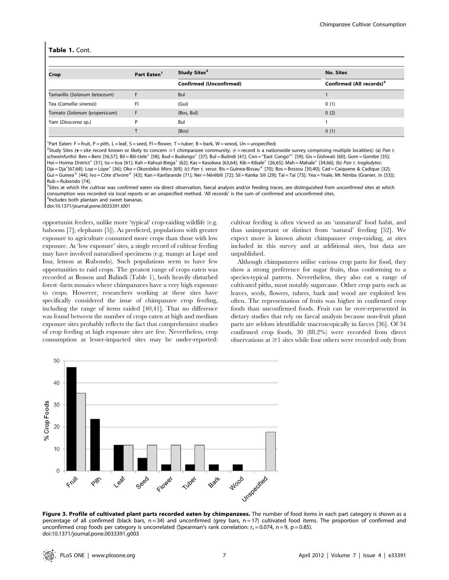## Table 1. Cont.

| Crop                          | Part Eaten <sup>1</sup> | Study Sites <sup>2</sup>       | <b>No. Sites</b>                     |
|-------------------------------|-------------------------|--------------------------------|--------------------------------------|
|                               |                         | <b>Confirmed (Unconfirmed)</b> | Confirmed (All records) <sup>3</sup> |
| Tamarillo (Solanum betaceum)  |                         | Bul                            |                                      |
| Tea (Camellia sinensis)       | FI                      | (Gui)                          | 0(1)                                 |
| Tomato (Solanum lycopersicum) | F                       | (Bos, Bul)                     | 0(2)                                 |
| Yam (Dioscorea sp.)           | D                       | Bul                            |                                      |
|                               |                         | (Bos)                          | 0(1)                                 |

<sup>1</sup>Part Eaten: F = fruit, P = pith, L = leaf, S = seed, Fl = flower, T = tuber, B = bark, W = wood, Un = unspecified;

<sup>2</sup>Study Sites (+=site record known or likely to concern ≥1 chimpanzee community; #=record is a nationwide survey comprising multiple localities): (a) Pan t. schweinfurthii: Ben = Beni [56,57]; Bil = Bili-Uele<sup>+</sup> [58]; Bud = Budongo<sup>+</sup> [37]; Bul = Bulindi [41]; Con = ''East Congo''<sup>+</sup> [59]; Gis = Gishwati [60]; Gom = Gombe [35]; Hoi = Hoima District<sup>+</sup> [31]; Iss = Issa [61]; Kah = Kahuzi-Biega<sup>+</sup> [62]; Kas = Kasokwa [63,64]; Kib = Kibale<sup>+</sup> [26,65]; Mah = Mahale<sup>+</sup> [34,66]; (b) Pan t. troglodytes: Dja = Dja<sup>+</sup>[67,68]; Lop = Lópe<sup>+</sup> [36]; Oko = Okorobikó Mtns [69]; (c) Pan t. verus: Bis = Guinea-Bissau<sup>#</sup> [70]; Bos = Bossou [30,40]; Cad = Caiquene & Cadique [32]; Gui = Guinea<sup>#</sup> [44]; Ivo = Côte d'Ivoire<sup>#</sup> [43]; Kan = Kanfarande [71]; Ner = Nérébili [72]; Sil = Kanka Sili [29]; Taï = Taï [73]; Yea = Yeale, Mt Nimba (Granier, in [33]); Rub = Rubondo [74].

<sup>3</sup>Sites at which the cultivar was confirmed eaten via direct observation, faecal analysis and/or feeding traces, are distinguished from unconfirmed sites at which consumption was recorded via local reports or an unspecified method. 'All records' is the sum of confirmed and unconfirmed sites.

4 Includes both plantain and sweet bananas.

doi:10.1371/journal.pone.0033391.t001

opportunist feeders, unlike more 'typical' crop-raiding wildlife (e.g. baboons [7]; elephants [5]). As predicted, populations with greater exposure to agriculture consumed more crops than those with low exposure. At 'low exposure' sites, a single record of cultivar feeding may have involved naturalised specimens (e.g. mango at Lopé and Issa; lemon at Rubondo). Such populations seem to have few opportunities to raid crops. The greatest range of crops eaten was recorded at Bossou and Bulindi (Table 1), both heavily disturbed forest–farm mosaics where chimpanzees have a very high exposure to crops. However, researchers working at these sites have specifically considered the issue of chimpanzee crop feeding, including the range of items raided [40,41]. That no difference was found between the number of crops eaten at high and medium exposure sites probably reflects the fact that comprehensive studies of crop feeding at high exposure sites are few. Nevertheless, crop consumption at lesser-impacted sites may be under-reported: cultivar feeding is often viewed as an 'unnatural' food habit, and thus unimportant or distinct from 'natural' feeding [52]. We expect more is known about chimpanzee crop-raiding, at sites included in this survey and at additional sites, but data are unpublished.

Although chimpanzees utilise various crop parts for food, they show a strong preference for sugar fruits, thus conforming to a species-typical pattern. Nevertheless, they also eat a range of cultivated piths, most notably sugarcane. Other crop parts such as leaves, seeds, flowers, tubers, bark and wood are exploited less often. The representation of fruits was higher in confirmed crop foods than unconfirmed foods. Fruit can be over-represented in dietary studies that rely on faecal analysis because non-fruit plant parts are seldom identifiable macroscopically in faeces [36]. Of 34 confirmed crop foods, 30 (88.2%) were recorded from direct observations at  $\geq$ 1 sites while four others were recorded only from



Figure 3. Profile of cultivated plant parts recorded eaten by chimpanzees. The number of food items in each part category is shown as a percentage of all confirmed (black bars, n = 34) and unconfirmed (grey bars, n = 17) cultivated food items. The proportion of confirmed and unconfirmed crop foods per category is uncorrelated (Spearman's rank correlation:  $r_s = 0.074$ , n = 9, p = 0.85). doi:10.1371/journal.pone.0033391.g003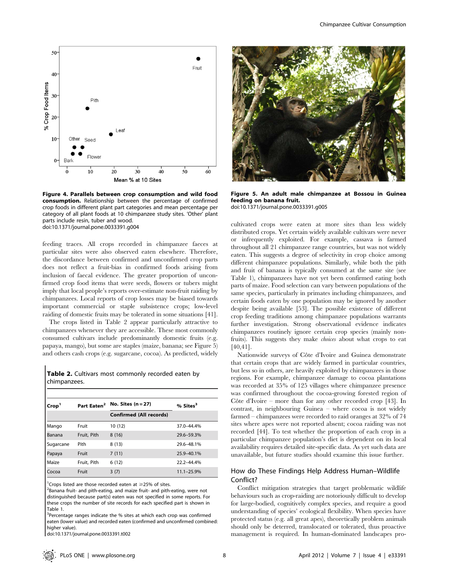

Figure 4. Parallels between crop consumption and wild food consumption. Relationship between the percentage of confirmed crop foods in different plant part categories and mean percentage per category of all plant foods at 10 chimpanzee study sites. 'Other' plant parts include resin, tuber and wood. doi:10.1371/journal.pone.0033391.g004

feeding traces. All crops recorded in chimpanzee faeces at particular sites were also observed eaten elsewhere. Therefore, the discordance between confirmed and unconfirmed crop parts does not reflect a fruit-bias in confirmed foods arising from inclusion of faecal evidence. The greater proportion of unconfirmed crop food items that were seeds, flowers or tubers might imply that local people's reports over-estimate non-fruit raiding by chimpanzees. Local reports of crop losses may be biased towards important commercial or staple subsistence crops; low-level raiding of domestic fruits may be tolerated in some situations [41].

The crops listed in Table 2 appear particularly attractive to chimpanzees whenever they are accessible. These most commonly consumed cultivars include predominantly domestic fruits (e.g. papaya, mango), but some are staples (maize, banana; see Figure 5) and others cash crops (e.g. sugarcane, cocoa). As predicted, widely

Table 2. Cultivars most commonly recorded eaten by chimpanzees.

| Crop <sup>1</sup> | Part Eaten <sup>2</sup> | No. Sites $(n=27)$             | $%$ Sites <sup>3</sup> |
|-------------------|-------------------------|--------------------------------|------------------------|
|                   |                         | <b>Confirmed (All records)</b> |                        |
| Mango             | Fruit                   | 10 (12)                        | 37.0-44.4%             |
| Banana            | Fruit, Pith             | 8(16)                          | 29.6-59.3%             |
| Sugarcane         | Pith                    | 8(13)                          | 29.6-48.1%             |
| Papaya            | Fruit                   | 7(11)                          | 25.9-40.1%             |
| Maize             | Fruit, Pith             | 6(12)                          | 22.2-44.4%             |
| Cocoa             | Fruit                   | 3(7)                           | 11.1-25.9%             |

<sup>1</sup>Crops listed are those recorded eaten at  $\geq$ 25% of sites.

 $^2$ Banana fruit- and pith-eating, and maize fruit- and pith-eating, were not distinguished because part(s) eaten was not specified in some reports. For these crops the number of site records for each specified part is shown in Table 1.

<sup>3</sup>Percentage ranges indicate the % sites at which each crop was confirmed eaten (lower value) and recorded eaten (confirmed and unconfirmed combined: higher value).

doi:10.1371/journal.pone.0033391.t002



Figure 5. An adult male chimpanzee at Bossou in Guinea feeding on banana fruit. doi:10.1371/journal.pone.0033391.g005

cultivated crops were eaten at more sites than less widely distributed crops. Yet certain widely available cultivars were never or infrequently exploited. For example, cassava is farmed throughout all 21 chimpanzee range countries, but was not widely eaten. This suggests a degree of selectivity in crop choice among different chimpanzee populations. Similarly, while both the pith and fruit of banana is typically consumed at the same site (see Table 1), chimpanzees have not yet been confirmed eating both parts of maize. Food selection can vary between populations of the same species, particularly in primates including chimpanzees, and certain foods eaten by one population may be ignored by another despite being available [53]. The possible existence of different crop feeding traditions among chimpanzee populations warrants further investigation. Strong observational evidence indicates chimpanzees routinely ignore certain crop species (mainly nonfruits). This suggests they make choices about what crops to eat [40,41].

Nationwide surveys of Côte d'Ivoire and Guinea demonstrate that certain crops that are widely farmed in particular countries, but less so in others, are heavily exploited by chimpanzees in those regions. For example, chimpanzee damage to cocoa plantations was recorded at 35% of 125 villages where chimpanzee presence was confirmed throughout the cocoa-growing forested region of Côte d'Ivoire – more than for any other recorded crop  $[43]$ . In contrast, in neighbouring Guinea – where cocoa is not widely farmed – chimpanzees were recorded to raid oranges at 32% of 74 sites where apes were not reported absent; cocoa raiding was not recorded [44]. To test whether the proportion of each crop in a particular chimpanzee population's diet is dependent on its local availability requires detailed site-specific data. As yet such data are unavailable, but future studies should examine this issue further.

# How do These Findings Help Address Human–Wildlife Conflict?

Conflict mitigation strategies that target problematic wildlife behaviours such as crop-raiding are notoriously difficult to develop for large-bodied, cognitively complex species, and require a good understanding of species' ecological flexibility. When species have protected status (e.g. all great apes), theoretically problem animals should only be deterred, translocated or tolerated, thus proactive management is required. In human-dominated landscapes pro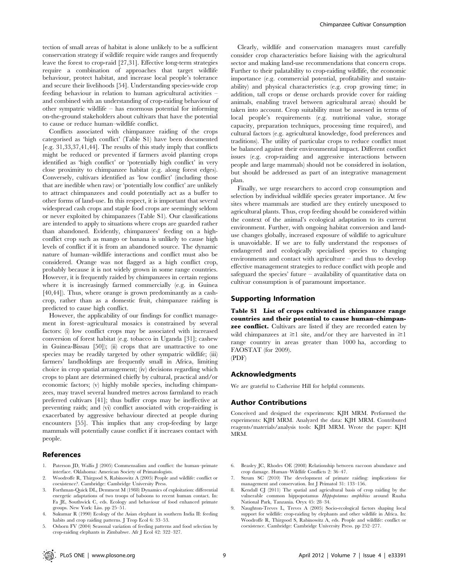tection of small areas of habitat is alone unlikely to be a sufficient conservation strategy if wildlife require wide ranges and frequently leave the forest to crop-raid [27,31]. Effective long-term strategies require a combination of approaches that target wildlife behaviour, protect habitat, and increase local people's tolerance and secure their livelihoods [54]. Understanding species-wide crop feeding behaviour in relation to human agricultural activities – and combined with an understanding of crop-raiding behaviour of other sympatric wildlife – has enormous potential for informing on-the-ground stakeholders about cultivars that have the potential to cause or reduce human–wildlife conflict.

Conflicts associated with chimpanzee raiding of the crops categorised as 'high conflict' (Table S1) have been documented [e.g. 31,33,37,41,44]. The results of this study imply that conflicts might be reduced or prevented if farmers avoid planting crops identified as 'high conflict' or 'potentially high conflict' in very close proximity to chimpanzee habitat (e.g. along forest edges). Conversely, cultivars identified as 'low conflict' (including those that are inedible when raw) or 'potentially low conflict' are unlikely to attract chimpanzees and could potentially act as a buffer to other forms of land-use. In this respect, it is important that several widespread cash crops and staple food crops are seemingly seldom or never exploited by chimpanzees (Table S1). Our classifications are intended to apply to situations where crops are guarded rather than abandoned. Evidently, chimpanzees' feeding on a highconflict crop such as mango or banana is unlikely to cause high levels of conflict if it is from an abandoned source. The dynamic nature of human–wildlife interactions and conflict must also be considered. Orange was not flagged as a high conflict crop, probably because it is not widely grown in some range countries. However, it is frequently raided by chimpanzees in certain regions where it is increasingly farmed commercially (e.g. in Guinea [40,44]). Thus, where orange is grown predominantly as a cashcrop, rather than as a domestic fruit, chimpanzee raiding is predicted to cause high conflict.

However, the applicability of our findings for conflict management in forest–agricultural mosaics is constrained by several factors: (i) low conflict crops may be associated with increased conversion of forest habitat (e.g. tobacco in Uganda [31]; cashew in Guinea-Bissau [50]); (ii) crops that are unattractive to one species may be readily targeted by other sympatric wildlife; (iii) farmers' landholdings are frequently small in Africa, limiting choice in crop spatial arrangement; (iv) decisions regarding which crops to plant are determined chiefly by cultural, practical and/or economic factors; (v) highly mobile species, including chimpanzees, may travel several hundred metres across farmland to reach preferred cultivars [41]; thus buffer crops may be ineffective at preventing raids; and (vi) conflict associated with crop-raiding is exacerbated by aggressive behaviour directed at people during encounters [55]. This implies that any crop-feeding by large mammals will potentially cause conflict if it increases contact with people.

# References

- Paterson JD, Wallis J (2005) Commensalism and conflict: the human-primate interface. Oklahoma: American Society of Primatologists.
- 2. Woodroffe R, Thirgood S, Rabinowitz A (2005) People and wildlife: conflict or coexistence?. Cambridge: Cambridge University Press.
- 3. Forthman-Quick DL, Demment M (1988) Dynamics of exploitation: differential energetic adaptations of two troops of baboons to recent human contact. In: Fa JE, Southwick C, eds. Ecology and behaviour of food enhanced primate groups. New York: Liss. pp 25–51.
- Sukumar R (1990) Ecology of the Asian elephant in southern India II: feeding habits and crop raiding patterns. J Trop Ecol 6: 33–53.

Chimpanzee Cultivar Consumption

Clearly, wildlife and conservation managers must carefully consider crop characteristics before liaising with the agricultural sector and making land-use recommendations that concern crops. Further to their palatability to crop-raiding wildlife, the economic importance (e.g. commercial potential, profitability and sustainability) and physical characteristics (e.g. crop growing time; in addition, tall crops or dense orchards provide cover for raiding animals, enabling travel between agricultural areas) should be taken into account. Crop suitability must be assessed in terms of local people's requirements (e.g. nutritional value, storage capacity, preparation techniques, processing time required), and cultural factors (e.g. agricultural knowledge, food preferences and traditions). The utility of particular crops to reduce conflict must be balanced against their environmental impact. Different conflict issues (e.g. crop-raiding and aggressive interactions between people and large mammals) should not be considered in isolation, but should be addressed as part of an integrative management plan.

Finally, we urge researchers to accord crop consumption and selection by individual wildlife species greater importance. At few sites where mammals are studied are they entirely unexposed to agricultural plants. Thus, crop feeding should be considered within the context of the animal's ecological adaptation to its current environment. Further, with ongoing habitat conversion and landuse changes globally, increased exposure of wildlife to agriculture is unavoidable. If we are to fully understand the responses of endangered and ecologically specialised species to changing environments and contact with agriculture – and thus to develop effective management strategies to reduce conflict with people and safeguard the species' future – availability of quantitative data on cultivar consumption is of paramount importance.

#### Supporting Information

Table S1 List of crops cultivated in chimpanzee range countries and their potential to cause human–chimpanzee conflict. Cultivars are listed if they are recorded eaten by wild chimpanzees at  $\geq 1$  site, and/or they are harvested in  $\geq 1$ range country in areas greater than 1000 ha, according to FAOSTAT (for 2009).

# (PDF)

#### Acknowledgments

We are grateful to Catherine Hill for helpful comments.

## Author Contributions

Conceived and designed the experiments: KJH MRM. Performed the experiments: KJH MRM. Analyzed the data: KJH MRM. Contributed reagents/materials/analysis tools: KJH MRM. Wrote the paper: KJH MRM.

- 6. Beasley JC, Rhodes OE (2008) Relationship between raccoon abundance and crop damage. Human–Wildlife Conflicts 2: 36–47.
- 7. Strum SC (2010) The development of primate raiding: implications for management and conservation. Int J Primatol 31: 133–156.
- 8. Kendall CJ (2011) The spatial and agricultural basis of crop raiding by the vulnerable common hippopotamus Hippopotamus amphibius around Ruaha National Park, Tanzania. Oryx 45: 28–34.
- 9. Naughton-Treves L, Treves A (2005) Socio-ecological factors shaping local support for wildlife: crop-raiding by elephants and other wildlife in Africa. In: Woodroffe R, Thirgood S, Rabinowitz A, eds. People and wildlife: conflict or coexistence. Cambridge: Cambridge University Press. pp 252–277.
- 5. Osborn FV (2004) Seasonal variation of feeding patterns and food selection by crop-raiding elephants in Zimbabwe. Afr J Ecol 42: 322–327.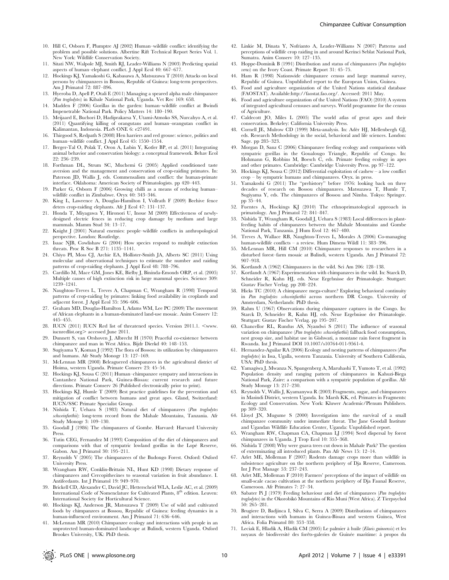- 10. Hill C, Osborn F, Plumptre AJ (2002) Human–wildlife conflict: identifying the problem and possible solutions. Albertine Rift Technical Report Series Vol. 1. New York: Wildlife Conservation Society.
- 11. Sitati NW, Walpole MJ, Smith RJ, Leader-Williams N (2003) Predicting spatial aspects of human–elephant conflict. J Appl Ecol 40: 667–677.
- 12. Hockings KJ, Yamakoshi G, Kabasawa A, Matsuzawa T (2010) Attacks on local persons by chimpanzees in Bossou, Republic of Guinea: long-term perspectives. Am J Primatol 72: 887–896.
- 13. Hyeroba D, Apell P, Otali E (2011) Managing a speared alpha male chimpanzee (Pan troglodytes) in Kibale National Park, Uganda. Vet Rec 169: 658.
- 14. Madden F (2006) Gorillas in the garden: human–wildlife conflict at Bwindi Impenetrable National Park. Policy Matters 14: 180–190.
- 15. Meijaard E, Buchori D, Hadiprakarsa Y, Utami-Atmoko SS, Nurcahyo A, et al. (2011) Quantifying killing of orangutans and human–orangutan conflict in Kalimantan, Indonesia. PLoS ONE 6: e27491.
- 16. Thirgood S, Redpath S (2008) Hen harriers and red grouse: science, politics and human–wildlife conflict. J Appl Ecol 45: 1550–1554.
- 17. Berger-Tal O, Polak T, Oron A, Lubin Y, Kotler BP, et al. (2011) Integrating animal behavior and conservation biology: a conceptual framework. Behav Ecol 22: 236–239.
- 18. Forthman DL, Strum SC, Muchemi G (2005) Applied conditioned taste aversion and the management and conservation of crop-raiding primates. In: Paterson JD, Wallis J, eds. Commensalism and conflict: the human-primate interface. Oklahoma: American Society of Primatologists. pp 420–443.
- 19. Parker G, Osborn F (2006) Growing chilli as a means of reducing human– wildlife conflict in Zimbabwe. Oryx 40: 343–346.
- 20. King L, Lawrence A, Douglas-Hamilton I, Vollrath F (2009) Beehive fence deters crop-raiding elephants. Afr J Ecol 47: 131–137.
- 21. Honda T, Miyagawa Y, Hironori U, Inoue M (2009) Effectiveness of newlydesigned electric fences in reducing crop damage by medium and large mammals. Mamm Stud 34: 13–17.
- 22. Knight J (2001) Natural enemies: people–wildlife conflicts in anthropological perspective. London: Routledge.
- 23. Isaac NJB, Cowlishaw G (2004) How species respond to multiple extinction threats. Proc R Soc B 271: 1135–1141.
- 24. Chiyo PI, Moss CJ, Archie EA, Hollister-Smith JA, Alberts SC (2011) Using molecular and observational techniques to estimate the number and raiding patterns of crop-raiding elephants. J Appl Ecol 48: 788–796.
- 25. Cardillo M, Mace GM, Jones KE, Bielby J, Bininda-Emonds ORP, et al. (2005) Multiple causes of high extinction risk in large mammal species. Science 309: 1239–1241.
- 26. Naughton-Treves L, Treves A, Chapman C, Wrangham R (1998) Temporal patterns of crop-raiding by primates: linking food availability in croplands and adjacent forest. J Appl Ecol 35: 596–606.
- 27. Graham MD, Douglas-Hamilton I, Adams WM, Lee PC (2009) The movement of African elephants in a human-dominated land-use mosaic. Anim Conserv 12: 445–455.
- 28. IUCN (2011) IUCN Red list of threatened species. Version 2011.1. <www. iucnredlist.org > accessed June 2011.
- 29. Dunnett S, van Orshoven J, Albrecht H (1970) Peaceful co-existence between chimpanzee and man in West Africa. Bijdr Dierkd 40: 148–153.
- 30. Sugiyama Y, Koman J (1992) The flora of Bossou: its utilization by chimpanzees and humans. Afr Study Monogr 13: 127–169.
- 31. McLennan MR (2008) Beleaguered chimpanzees in the agricultural district of Hoima, western Uganda. Primate Conserv 23: 45–54.
- 32. Hockings KJ, Sousa C (2011) Human–chimpanzee sympatry and interactions in Cantanhez National Park, Guinea-Bissau: current research and future directions. Primate Conserv 26 (Published electronically prior to print).
- 33. Hockings KJ, Humle T (2009) Best practice guidelines for the prevention and mitigation of conflict between humans and great apes. Gland, Switzerland: IUCN/SSC Primate Specialist Group.
- 34. Nishida T, Uehara S (1983) Natural diet of chimpanzees (Pan troglodytes schweinfurthii): long-term record from the Mahale Mountains, Tanzania. Afr Study Monogr 3: 109–130.
- 35. Goodall J (1986) The chimpanzees of Gombe. Harvard: Harvard University Press.
- 36. Tutin CEG, Fernandez M (1993) Composition of the diet of chimpanzees and comparisons with that of sympatric lowland gorillas in the Lope´ Reserve, Gabon. Am J Primatol 30: 195–211.
- 37. Reynolds V (2005) The chimpanzees of the Budongo Forest. Oxford: Oxford University Press.
- 38. Wrangham RW, Conklin-Brittain NL, Hunt KD (1998) Dietary response of chimpanzees and Cercopithecines to seasonal variation in fruit abundance. I. Antifeedants. Int J Primatol 19: 949–970.
- 39. Brickell CD, Alexander C, David JC, Hetterscheid WLA, Leslie AC, et al. (2009) International Code of Nomenclature for Cultivated Plants, 8<sup>th</sup> edition. Leuven: International Society for Horticultural Science.
- 40. Hockings KJ, Anderson JR, Matsuzawa T (2009) Use of wild and cultivated foods by chimpanzees at Bossou, Republic of Guinea: feeding dynamics in a human-influenced environment. Am J Primatol 71: 636–646.
- 41. McLennan MR (2010) Chimpanzee ecology and interactions with people in an unprotected human-dominated landscape at Bulindi, western Uganda. Oxford Brookes University, UK: PhD thesis.
- 42. Linkie M, Dinata Y, Nofrianto A, Leader-Williams N (2007) Patterns and perceptions of wildlife crop raiding in and around Kerinci Seblat National Park, Sumatra. Anim Conserv 10: 127–135.
- 43. Hoppe-Dominik B (1991) Distribution and status of chimpanzees (Pan troglodytes verus) on the Ivory Coast. Primate Report 31: 45–75.
- 44. Ham R (1998) Nationwide chimpanzee census and large mammal survey, Republic of Guinea. Unpublished report to the European Union, Guinea.
- 45. Food and agriculture organization of the United Nations statistical database (FAOSTAT). Available:http://faostat.fao.org/. Accessed: 2011 May.
- 46. Food and agriculture organization of the United Nations (FAO) (2010) A system of integrated agricultural censuses and surveys. World programme for the census of Agriculture.
- 47. Caldecott JO, Miles L (2005) The world atlas of great apes and their conservation. Berkeley: California University Press.
- 48. Cornell JE, Mulrow CD (1999) Meta-analysis. In: Adèr HJ, Mellenbergh GJ, eds. Research Methodology in the social, behavioral and life sciences. London: Sage. pp 285–323.
- 49. Morgan D, Sanz C (2006) Chimpanzee feeding ecology and comparisons with sympatric gorillas in the Goualougo Triangle, Republic of Congo. In: Hohmann G, Robbins M, Boesch C, eds. Primate feeding ecology in apes and other primates. Cambridge: Cambridge University Press. pp 97–122.
- 50. Hockings KJ, Sousa C (2012) Differential exploitation of cashew a low conflict crop – by sympatric humans and chimpanzees. Oryx. in press.
- 51. Yamakoshi G (2011) The ''prehistory'' before 1976: looking back on three decades of research on Bossou chimpanzees. Matsuzawa T, Humle T, Sugiyama Y, eds. The chimpanzees of Bossou and Nimba. Tokyo: Springer. pp 35–44.
- 52. Fuentes A, Hockings KJ (2010) The ethnoprimatological approach in primatology. Am J Primatol 72: 841–847.
- 53. Nishida T, Wrangham R, Goodall J, Uehara S (1983) Local differences in plantfeeding habits of chimpanzees between the Mahale Mountains and Gombe National Park, Tanzania. J Hum Evol 12: 467–480.
- 54. Treves A, Wallace RB, Naughton-Treves L, Morales A (2006) Co-managing human-wildlife conflicts – a review. Hum Dimens Wildl 11: 383–396.
- 55. McLennan MR, Hill CM (2010) Chimpanzee responses to researchers in a disturbed forest–farm mosaic at Bulindi, western Uganda. Am J Primatol 72: 907–918.
- 56. Kortlandt A (1962) Chimpanzees in the wild. Sci Am 206: 128–138.
- 57. Kortlandt A (1967) Experimentation with chimpanzees in the wild. In: Starck D, Schneider R, Kuhn HJ, eds. Neue Ergebnisse der Primatologie. Stuttgart: Gustav Fischer Verlag. pp 208–224.
- 58. Hicks TC (2010) A chimpanzee mega-culture? Exploring behavioral continuity in Pan troglodytes schweinfurthii across northern DR Congo. University of Amsterdam, Netherlands: PhD thesis.
- 59. Rahm U (1967) Observations during chimpanzee captures in the Congo. In: Starck D, Schneider R, Kuhn HJ, eds. Neue Ergebnisse der Primatologie. Stuttgart: Gustav Fischer Verlag. pp 195–207.
- 60. Chancellor RL, Rundus AS, Nyandwi S (2011) The influence of seasonal variation on chimpanzee (Pan troglodytes schweinfurthii) fallback food consumption, nest group size, and habitat use in Gishwati, a montane rain forest fragment in Rwanda. Int J Primatol DOI 10.1007/s10764-011-9561-4.
- 61. Hernandez-Aguilar RA (2006) Ecology and nesting patterns of chimpanzees (Pan troglodytes) in Issa, Ugalla, western Tanzania. University of Southern California, USA: PhD thesis.
- 62. Yamagiwa J, Mwanza N, Spangenberg A, Maruhashi T, Yumoto T, et al. (1992) Population density and ranging pattern of chimpanzees in Kahuzi-Biega National Park, Zaire: a comparison with a sympatric population of gorillas. Afr Study Monogr 13: 217–230.
- 63. Reynolds V, Wallis J, Kyamanywa R (2003) Fragments, sugar, and chimpanzees in Masindi District, western Uganda. In: Marsh KK, ed. Primates in Fragments: Ecology and Conservation. New York: Kluwer Academic/Plenum Publishers. pp 309–320.
- 64. Lloyd JN, Mugume S (2000) Investigation into the survival of a small chimpanzee community under immediate threat. The Jane Goodall Institute and Ugandan Wildlife Education Center, Uganda: Unpublished report.
- 65. Wrangham RW, Chapman CA, Chapman LJ (1994) Seed dispersal by forest chimpanzees in Uganda. J Trop Ecol 10: 355–368.
- 66. Nishida T (2008) Why were guava trees cut down in Mahale Park? The question of exterminating all introduced plants. Pan Afr News 15: 12–14.
- 67. Arlet ME, Molleman F (2007) Rodents damage crops more than wildlife in subsistence agriculture on the northern periphery of Dja Reserve, Cameroon. Int J Pest Manage 53: 237–243.
- 68. Arlet ME, Molleman F (2010) Farmers' perceptions of the impact of wildlife on small-scale cacao cultivation at the northern periphery of Dja Faunal Reserve, Cameroon. Afr Primates 7: 27–34.
- 69. Sabater Pi J (1979) Feeding behaviour and diet of chimpanzees (Pan troglodytes troglodytes) in the Okorobikó Mountains of Rio Muni (West Africa). Z Tierpsychol 50: 265–281.
- 70. Brugiere D, Badjinca I, Silva C, Serra A (2009) Distributions of chimpanzees and interactions with humans in Guinea-Bissau and western Guinea, West Africa. Folia Primatol 80: 353–358.
- 71. Leciak E, Hladik A, Hladik CM (2005) Le palmier à huile (Elaeis guineensis) et les noyaux de biodiversité des forêts-galeries de Guinée maritime: à propos du